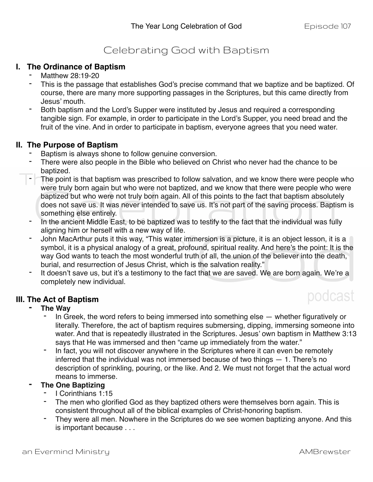## Celebrating God with Baptism

### **I. The Ordinance of Baptism**

- Matthew 28:19-20
- This is the passage that establishes God's precise command that we baptize and be baptized. Of course, there are many more supporting passages in the Scriptures, but this came directly from Jesus' mouth.
- Both baptism and the Lord's Supper were instituted by Jesus and required a corresponding tangible sign. For example, in order to participate in the Lord's Supper, you need bread and the fruit of the vine. And in order to participate in baptism, everyone agrees that you need water.

### **II. The Purpose of Baptism**

- Baptism is always shone to follow genuine conversion.
- There were also people in the Bible who believed on Christ who never had the chance to be baptized.
- The point is that baptism was prescribed to follow salvation, and we know there were people who were truly born again but who were not baptized, and we know that there were people who were baptized but who were not truly born again. All of this points to the fact that baptism absolutely does not save us. It was never intended to save us. It's not part of the saving process. Baptism is something else entirely.
- In the ancient Middle East, to be baptized was to testify to the fact that the individual was fully aligning him or herself with a new way of life.
- John MacArthur puts it this way, "This water immersion is a picture, it is an object lesson, it is a symbol, it is a physical analogy of a great, profound, spiritual reality. And here's the point: It is the way God wants to teach the most wonderful truth of all, the union of the believer into the death, burial, and resurrection of Jesus Christ, which is the salvation reality."
- It doesn't save us, but it's a testimony to the fact that we are saved. We are born again. We're a completely new individual.

### **III. The Act of Baptism**

# podcast

- **- The Way** 
	- In Greek, the word refers to being immersed into something else whether figuratively or literally. Therefore, the act of baptism requires submersing, dipping, immersing someone into water. And that is repeatedly illustrated in the Scriptures. Jesus' own baptism in Matthew 3:13 says that He was immersed and then "came up immediately from the water."
	- In fact, you will not discover anywhere in the Scriptures where it can even be remotely inferred that the individual was not immersed because of two things — 1. There's no description of sprinkling, pouring, or the like. And 2. We must not forget that the actual word means to immerse.

### **- The One Baptizing**

- I Corinthians 1:15
- The men who glorified God as they baptized others were themselves born again. This is consistent throughout all of the biblical examples of Christ-honoring baptism.
- They were all men. Nowhere in the Scriptures do we see women baptizing anyone. And this is important because . . .